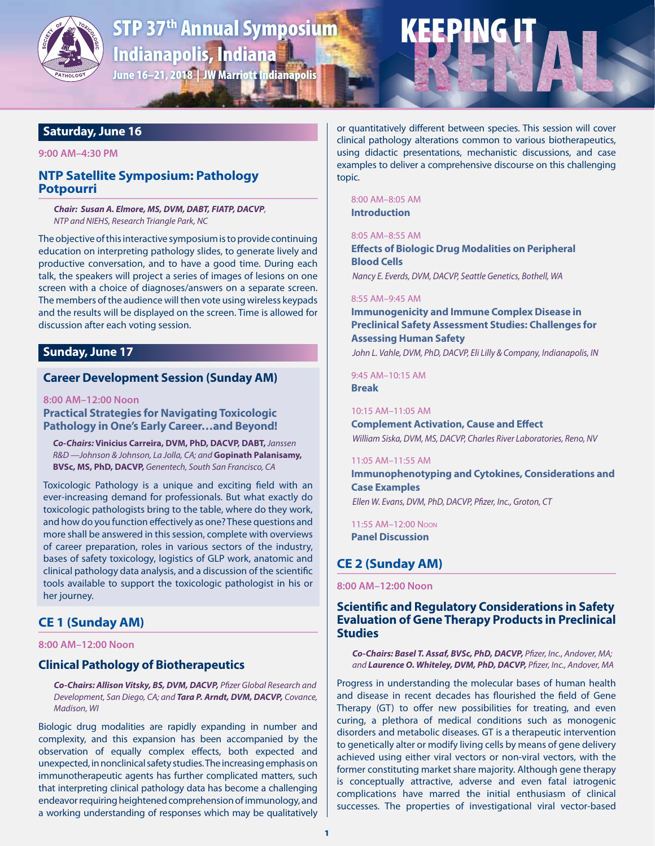

# **STP 37<sup>th</sup> Annual Symposium** Indianapolis, Indiana June 16–21, 2018 | JW Marriott Indianapolis

# **Saturday, June 16**

#### **9:00 AM–4:30 PM**

# **NTP Satellite Symposium: Pathology Potpourri**

*Chair: Susan A. Elmore, MS, DVM, DABT, FIATP, DACVP, NTP and NIEHS, Research Triangle Park, NC*

The objective of this interactive symposium is to provide continuing education on interpreting pathology slides, to generate lively and productive conversation, and to have a good time. During each talk, the speakers will project a series of images of lesions on one screen with a choice of diagnoses/answers on a separate screen. The members of the audience will then vote using wireless keypads and the results will be displayed on the screen. Time is allowed for discussion after each voting session.

# **Sunday, June 17**

# **Career Development Session (Sunday AM)**

**8:00 AM–12:00 Noon Practical Strategies for Navigating Toxicologic** 

**Pathology in One's Early Career…and Beyond!**

*Co-Chairs:* **Vinicius Carreira, DVM, PhD, DACVP, DABT,** *Janssen R&D —Johnson & Johnson, La Jolla, CA; and* **Gopinath Palanisamy, BVSc, MS, PhD, DACVP,** *Genentech, South San Francisco, CA*

Toxicologic Pathology is a unique and exciting field with an ever-increasing demand for professionals. But what exactly do toxicologic pathologists bring to the table, where do they work, and how do you function effectively as one? These questions and more shall be answered in this session, complete with overviews of career preparation, roles in various sectors of the industry, bases of safety toxicology, logistics of GLP work, anatomic and clinical pathology data analysis, and a discussion of the scientific tools available to support the toxicologic pathologist in his or her journey.

# **CE 1 (Sunday AM)**

#### **8:00 AM–12:00 Noon**

# **Clinical Pathology of Biotherapeutics**

*Co-Chairs: Allison Vitsky, BS, DVM, DACVP, Pfizer Global Research and Development, San Diego, CA; and Tara P. Arndt, DVM, DACVP, Covance, Madison, WI*

Biologic drug modalities are rapidly expanding in number and complexity, and this expansion has been accompanied by the observation of equally complex effects, both expected and unexpected, in nonclinical safety studies. The increasing emphasis on immunotherapeutic agents has further complicated matters, such that interpreting clinical pathology data has become a challenging endeavor requiring heightened comprehension of immunology, and a working understanding of responses which may be qualitatively or quantitatively different between species. This session will cover clinical pathology alterations common to various biotherapeutics, using didactic presentations, mechanistic discussions, and case examples to deliver a comprehensive discourse on this challenging topic.

KEEPING IT

8:00 AM–8:05 AM

**Introduction**

# 8:05 AM–8:55 AM

**Effects of Biologic Drug Modalities on Peripheral Blood Cells** *Nancy E. Everds, DVM, DACVP, Seattle Genetics, Bothell, WA*

#### 8:55 AM–9:45 AM

**Immunogenicity and Immune Complex Disease in Preclinical Safety Assessment Studies: Challenges for Assessing Human Safety**

*John L. Vahle, DVM, PhD, DACVP, Eli Lilly & Company, Indianapolis, IN*

9:45 AM–10:15 AM **Break**

#### 10:15 AM–11:05 AM

**Complement Activation, Cause and Effect** *William Siska, DVM, MS, DACVP, Charles River Laboratories, Reno, NV*

#### 11:05 AM–11:55 AM

**Immunophenotyping and Cytokines, Considerations and Case Examples** *Ellen W. Evans, DVM, PhD, DACVP, Pfizer, Inc., Groton, CT*

11:55 AM–12:00 Noon **Panel Discussion**

# **CE 2 (Sunday AM)**

**8:00 AM–12:00 Noon**

# **Scientific and Regulatory Considerations in Safety Evaluation of Gene Therapy Products in Preclinical Studies**

*Co-Chairs: Basel T. Assaf, BVSc, PhD, DACVP, Pfizer, Inc., Andover, MA; and Laurence O. Whiteley, DVM, PhD, DACVP, Pfizer, Inc., Andover, MA*

Progress in understanding the molecular bases of human health and disease in recent decades has flourished the field of Gene Therapy (GT) to offer new possibilities for treating, and even curing, a plethora of medical conditions such as monogenic disorders and metabolic diseases. GT is a therapeutic intervention to genetically alter or modify living cells by means of gene delivery achieved using either viral vectors or non-viral vectors, with the former constituting market share majority. Although gene therapy is conceptually attractive, adverse and even fatal iatrogenic complications have marred the initial enthusiasm of clinical successes. The properties of investigational viral vector-based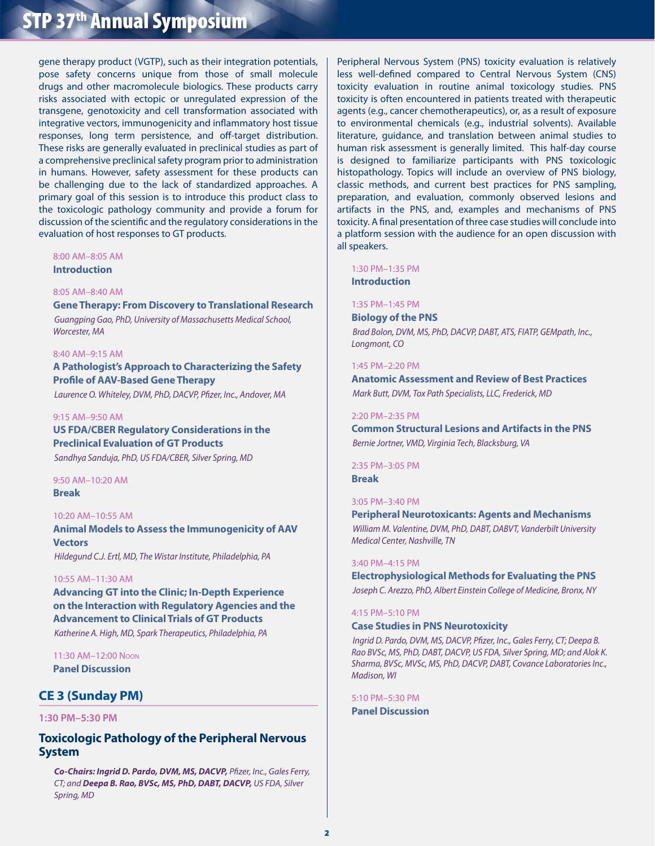gene therapy product (VGTP), such as their integration potentials, pose safety concerns unique from those of small molecule drugs and other macromolecule biologics. These products carry risks associated with ectopic or unregulated expression of the transgene, genotoxicity and cell transformation associated with integrative vectors, immunogenicity and inflammatory host tissue responses, long term persistence, and off-target distribution. These risks are generally evaluated in preclinical studies as part of a comprehensive preclinical safety program prior to administration in humans. However, safety assessment for these products can be challenging due to the lack of standardized approaches. A primary goal of this session is to introduce this product class to the toxicologic pathology community and provide a forum for discussion of the scientific and the regulatory considerations in the evaluation of host responses to GT products.

#### 8:00 AM–8:05 AM **Introduction**

8:05 AM–8:40 AM

# **Gene Therapy: From Discovery to Translational Research** *Guangping Gao, PhD, University of Massachusetts Medical School, Worcester, MA*

#### 8:40 AM–9:15 AM

**A Pathologist's Approach to Characterizing the Safety Profile of AAV-Based Gene Therapy**

*Laurence O. Whiteley, DVM, PhD, DACVP, Pfizer, Inc., Andover, MA*

#### 9:15 AM–9:50 AM

**US FDA/CBER Regulatory Considerations in the Preclinical Evaluation of GT Products** *Sandhya Sanduja, PhD, US FDA/CBER, Silver Spring, MD*

#### 9:50 AM–10:20 AM **Break**

#### 10:20 AM–10:55 AM

**Animal Models to Assess the Immunogenicity of AAV Vectors**

*Hildegund C.J. Ertl, MD, The Wistar Institute, Philadelphia, PA*

#### 10:55 AM–11:30 AM

**Advancing GT into the Clinic; In-Depth Experience on the Interaction with Regulatory Agencies and the Advancement to Clinical Trials of GT Products** *Katherine A. High, MD, Spark Therapeutics, Philadelphia, PA*

11:30 AM–12:00 Noon **Panel Discussion**

# **CE 3 (Sunday PM)**

### **1:30 PM–5:30 PM**

# **Toxicologic Pathology of the Peripheral Nervous System**

*Co-Chairs: Ingrid D. Pardo, DVM, MS, DACVP, Pfizer, Inc., Gales Ferry, CT; and Deepa B. Rao, BVSc, MS, PhD, DABT, DACVP, US FDA, Silver Spring, MD*

Peripheral Nervous System (PNS) toxicity evaluation is relatively less well-defined compared to Central Nervous System (CNS) toxicity evaluation in routine animal toxicology studies. PNS toxicity is often encountered in patients treated with therapeutic agents (e.g., cancer chemotherapeutics), or, as a result of exposure to environmental chemicals (e.g., industrial solvents). Available literature, guidance, and translation between animal studies to human risk assessment is generally limited. This half-day course is designed to familiarize participants with PNS toxicologic histopathology. Topics will include an overview of PNS biology, classic methods, and current best practices for PNS sampling, preparation, and evaluation, commonly observed lesions and artifacts in the PNS, and, examples and mechanisms of PNS toxicity. A final presentation of three case studies will conclude into a platform session with the audience for an open discussion with all speakers.

#### 1:30 PM–1:35 PM **Introduction**

#### 1:35 PM–1:45 PM

**Biology of the PNS**

*Brad Bolon, DVM, MS, PhD, DACVP, DABT, ATS, FIATP, GEMpath, Inc., Longmont, CO*

#### 1:45 PM–2:20 PM

**Anatomic Assessment and Review of Best Practices** *Mark Butt, DVM, Tox Path Specialists, LLC, Frederick, MD*

#### 2:20 PM–2:35 PM

**Common Structural Lesions and Artifacts in the PNS**  *Bernie Jortner, VMD, Virginia Tech, Blacksburg, VA*

#### 2:35 PM–3:05 PM

**Break**

#### 3:05 PM–3:40 PM

**Peripheral Neurotoxicants: Agents and Mechanisms**  *William M. Valentine, DVM, PhD, DABT, DABVT, Vanderbilt University Medical Center, Nashville, TN*

#### 3:40 PM–4:15 PM

**Electrophysiological Methods for Evaluating the PNS**  *Joseph C. Arezzo, PhD, Albert Einstein College of Medicine, Bronx, NY*

#### 4:15 PM–5:10 PM

#### **Case Studies in PNS Neurotoxicity**

*Ingrid D. Pardo, DVM, MS, DACVP, Pfizer, Inc., Gales Ferry, CT; Deepa B. Rao BVSc, MS, PhD, DABT, DACVP, US FDA, Silver Spring, MD; and Alok K. Sharma, BVSc, MVSc, MS, PhD, DACVP, DABT, Covance Laboratories Inc., Madison, WI*

5:10 PM–5:30 PM **Panel Discussion**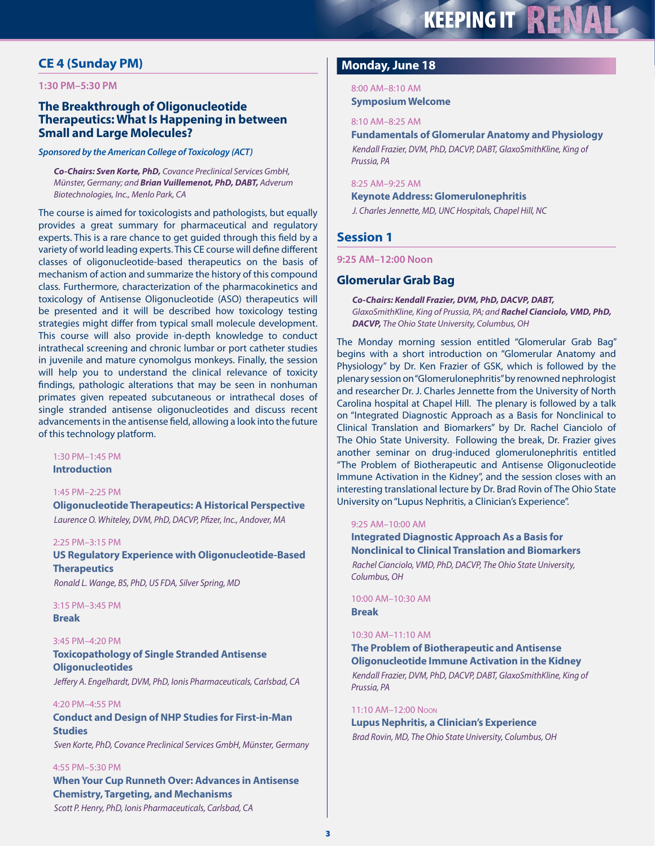# **CE 4 (Sunday PM)**

#### **1:30 PM–5:30 PM**

# **The Breakthrough of Oligonucleotide Therapeutics: What Is Happening in between Small and Large Molecules?**

#### *Sponsored by the American College of Toxicology (ACT)*

*Co-Chairs: Sven Korte, PhD, Covance Preclinical Services GmbH, Münster, Germany; and Brian Vuillemenot, PhD, DABT, Adverum Biotechnologies, Inc., Menlo Park, CA*

The course is aimed for toxicologists and pathologists, but equally provides a great summary for pharmaceutical and regulatory experts. This is a rare chance to get guided through this field by a variety of world leading experts. This CE course will define different classes of oligonucleotide-based therapeutics on the basis of mechanism of action and summarize the history of this compound class. Furthermore, characterization of the pharmacokinetics and toxicology of Antisense Oligonucleotide (ASO) therapeutics will be presented and it will be described how toxicology testing strategies might differ from typical small molecule development. This course will also provide in-depth knowledge to conduct intrathecal screening and chronic lumbar or port catheter studies in juvenile and mature cynomolgus monkeys. Finally, the session will help you to understand the clinical relevance of toxicity findings, pathologic alterations that may be seen in nonhuman primates given repeated subcutaneous or intrathecal doses of single stranded antisense oligonucleotides and discuss recent advancements in the antisense field, allowing a look into the future of this technology platform.

# 1:30 PM–1:45 PM

**Introduction**

#### 1:45 PM–2:25 PM

**Oligonucleotide Therapeutics: A Historical Perspective**  *Laurence O. Whiteley, DVM, PhD, DACVP, Pfizer, Inc., Andover, MA*

#### 2:25 PM–3:15 PM

**US Regulatory Experience with Oligonucleotide-Based Therapeutics**

*Ronald L. Wange, BS, PhD, US FDA, Silver Spring, MD*

3:15 PM–3:45 PM **Break**

#### 3:45 PM–4:20 PM

# **Toxicopathology of Single Stranded Antisense Oligonucleotides**

*Jeffery A. Engelhardt, DVM, PhD, Ionis Pharmaceuticals, Carlsbad, CA*

#### 4:20 PM–4:55 PM

# **Conduct and Design of NHP Studies for First-in-Man Studies**

*Sven Korte, PhD, Covance Preclinical Services GmbH, Münster, Germany*

#### 4:55 PM–5:30 PM

**When Your Cup Runneth Over: Advances in Antisense Chemistry, Targeting, and Mechanisms** *Scott P. Henry, PhD, Ionis Pharmaceuticals, Carlsbad, CA*

# **Monday, June 18**

8:00 AM–8:10 AM **Symposium Welcome**

#### 8:10 AM–8:25 AM

**Fundamentals of Glomerular Anatomy and Physiology** *Kendall Frazier, DVM, PhD, DACVP, DABT, GlaxoSmithKline, King of Prussia, PA*

#### 8:25 AM–9:25 AM

**Keynote Address: Glomerulonephritis** 

*J. Charles Jennette, MD, UNC Hospitals, Chapel Hill, NC*

# **Session 1**

**9:25 AM–12:00 Noon**

# **Glomerular Grab Bag**

*Co-Chairs: Kendall Frazier, DVM, PhD, DACVP, DABT, GlaxoSmithKline, King of Prussia, PA; and Rachel Cianciolo, VMD, PhD, DACVP, The Ohio State University, Columbus, OH*

The Monday morning session entitled "Glomerular Grab Bag" begins with a short introduction on "Glomerular Anatomy and Physiology" by Dr. Ken Frazier of GSK, which is followed by the plenary session on "Glomerulonephritis" by renowned nephrologist and researcher Dr. J. Charles Jennette from the University of North Carolina hospital at Chapel Hill. The plenary is followed by a talk on "Integrated Diagnostic Approach as a Basis for Nonclinical to Clinical Translation and Biomarkers" by Dr. Rachel Cianciolo of The Ohio State University. Following the break, Dr. Frazier gives another seminar on drug-induced glomerulonephritis entitled "The Problem of Biotherapeutic and Antisense Oligonucleotide Immune Activation in the Kidney", and the session closes with an interesting translational lecture by Dr. Brad Rovin of The Ohio State University on "Lupus Nephritis, a Clinician's Experience".

#### 9:25 AM–10:00 AM

**Integrated Diagnostic Approach As a Basis for Nonclinical to Clinical Translation and Biomarkers**  *Rachel Cianciolo, VMD, PhD, DACVP, The Ohio State University, Columbus, OH*

10:00 AM–10:30 AM **Break**

# 10:30 AM–11:10 AM

**The Problem of Biotherapeutic and Antisense Oligonucleotide Immune Activation in the Kidney** *Kendall Frazier, DVM, PhD, DACVP, DABT, GlaxoSmithKline, King of Prussia, PA*

#### 11:10 AM–12:00 Noon

**Lupus Nephritis, a Clinician's Experience**  *Brad Rovin, MD, The Ohio State University, Columbus, OH*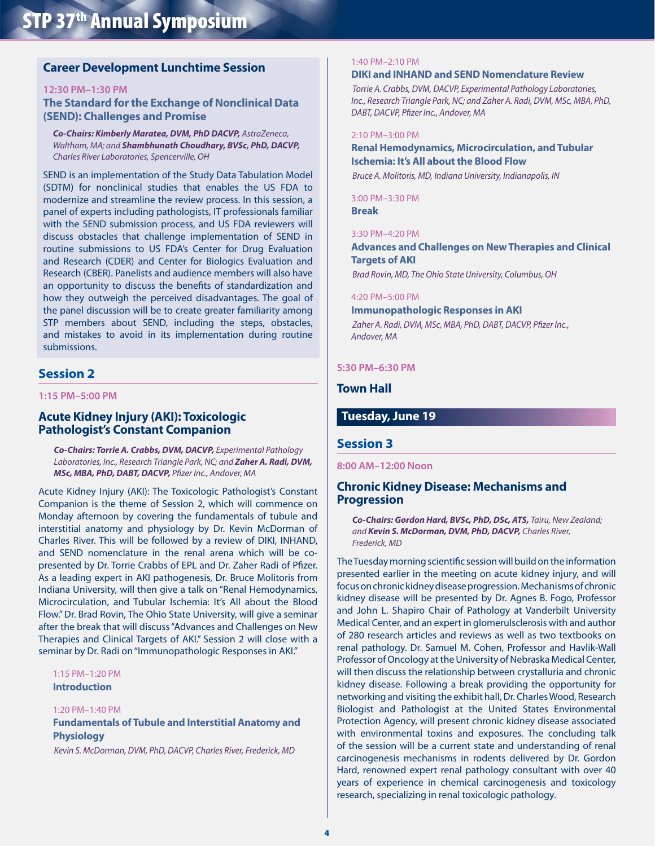# **Career Development Lunchtime Session**

#### **12:30 PM–1:30 PM**

**The Standard for the Exchange of Nonclinical Data (SEND): Challenges and Promise**

*Co-Chairs: Kimberly Maratea, DVM, PhD DACVP, AstraZeneca, Waltham, MA; and Shambhunath Choudhary, BVSc, PhD, DACVP, Charles River Laboratories, Spencerville, OH*

SEND is an implementation of the Study Data Tabulation Model (SDTM) for nonclinical studies that enables the US FDA to modernize and streamline the review process. In this session, a panel of experts including pathologists, IT professionals familiar with the SEND submission process, and US FDA reviewers will discuss obstacles that challenge implementation of SEND in routine submissions to US FDA's Center for Drug Evaluation and Research (CDER) and Center for Biologics Evaluation and Research (CBER). Panelists and audience members will also have an opportunity to discuss the benefits of standardization and how they outweigh the perceived disadvantages. The goal of the panel discussion will be to create greater familiarity among STP members about SEND, including the steps, obstacles, and mistakes to avoid in its implementation during routine submissions.

# **Session 2**

**1:15 PM–5:00 PM**

# **Acute Kidney Injury (AKI): Toxicologic Pathologist's Constant Companion**

*Co-Chairs: Torrie A. Crabbs, DVM, DACVP, Experimental Pathology Laboratories, Inc., Research Triangle Park, NC; and Zaher A. Radi, DVM, MSc, MBA, PhD, DABT, DACVP, Pfizer Inc., Andover, MA*

Acute Kidney Injury (AKI): The Toxicologic Pathologist's Constant Companion is the theme of Session 2, which will commence on Monday afternoon by covering the fundamentals of tubule and interstitial anatomy and physiology by Dr. Kevin McDorman of Charles River. This will be followed by a review of DIKI, INHAND, and SEND nomenclature in the renal arena which will be copresented by Dr. Torrie Crabbs of EPL and Dr. Zaher Radi of Pfizer. As a leading expert in AKI pathogenesis, Dr. Bruce Molitoris from Indiana University, will then give a talk on "Renal Hemodynamics, Microcirculation, and Tubular Ischemia: It's All about the Blood Flow." Dr. Brad Rovin, The Ohio State University, will give a seminar after the break that will discuss "Advances and Challenges on New Therapies and Clinical Targets of AKI." Session 2 will close with a seminar by Dr. Radi on "Immunopathologic Responses in AKI."

#### 1:15 PM–1:20 PM

#### **Introduction**

#### 1:20 PM–1:40 PM

## **Fundamentals of Tubule and Interstitial Anatomy and Physiology**

*Kevin S. McDorman, DVM, PhD, DACVP, Charles River, Frederick, MD*

#### 1:40 PM–2:10 PM

#### **DIKI and INHAND and SEND Nomenclature Review**

*Torrie A. Crabbs, DVM, DACVP, Experimental Pathology Laboratories, Inc., Research Triangle Park, NC; and Zaher A. Radi, DVM, MSc, MBA, PhD, DABT, DACVP, Pfizer Inc., Andover, MA*

#### 2:10 PM–3:00 PM

# **Renal Hemodynamics, Microcirculation, and Tubular Ischemia: It's All about the Blood Flow**

*Bruce A. Molitoris, MD, Indiana University, Indianapolis, IN*

3:00 PM–3:30 PM **Break**

#### 3:30 PM–4:20 PM

**Advances and Challenges on New Therapies and Clinical Targets of AKI**

*Brad Rovin, MD, The Ohio State University, Columbus, OH*

#### 4:20 PM–5:00 PM

**Immunopathologic Responses in AKI**  *Zaher A. Radi, DVM, MSc, MBA, PhD, DABT, DACVP, Pfizer Inc.,* 

*Andover, MA*

#### **5:30 PM–6:30 PM**

# **Town Hall**

# **Tuesday, June 19**

#### **Session 3**

**8:00 AM–12:00 Noon**

# **Chronic Kidney Disease: Mechanisms and Progression**

*Co-Chairs: Gordon Hard, BVSc, PhD, DSc, ATS, Tairu, New Zealand; and Kevin S. McDorman, DVM, PhD, DACVP, Charles River, Frederick, MD*

The Tuesday morning scientific session will build on the information presented earlier in the meeting on acute kidney injury, and will focus on chronic kidney disease progression. Mechanisms of chronic kidney disease will be presented by Dr. Agnes B. Fogo, Professor and John L. Shapiro Chair of Pathology at Vanderbilt University Medical Center, and an expert in glomerulsclerosis with and author of 280 research articles and reviews as well as two textbooks on renal pathology. Dr. Samuel M. Cohen, Professor and Havlik-Wall Professor of Oncology at the University of Nebraska Medical Center, will then discuss the relationship between crystalluria and chronic kidney disease. Following a break providing the opportunity for networking and visiting the exhibit hall, Dr. Charles Wood, Research Biologist and Pathologist at the United States Environmental Protection Agency, will present chronic kidney disease associated with environmental toxins and exposures. The concluding talk of the session will be a current state and understanding of renal carcinogenesis mechanisms in rodents delivered by Dr. Gordon Hard, renowned expert renal pathology consultant with over 40 years of experience in chemical carcinogenesis and toxicology research, specializing in renal toxicologic pathology.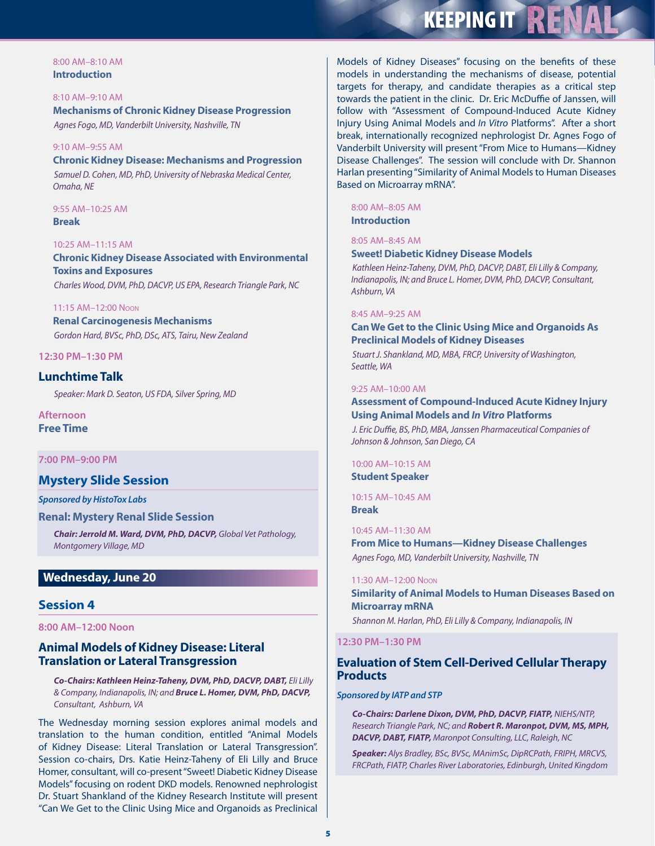# **KEEPING IT RENALT**

#### 8:00 AM–8:10 AM **Introduction**

8:10 AM–9:10 AM **Mechanisms of Chronic Kidney Disease Progression** *Agnes Fogo, MD, Vanderbilt University, Nashville, TN*

#### 9:10 AM–9:55 AM

**Chronic Kidney Disease: Mechanisms and Progression** *Samuel D. Cohen, MD, PhD, University of Nebraska Medical Center, Omaha, NE*

9:55 AM–10:25 AM **Break**

#### 10:25 AM–11:15 AM

**Chronic Kidney Disease Associated with Environmental Toxins and Exposures** *Charles Wood, DVM, PhD, DACVP, US EPA, Research Triangle Park, NC*

#### 11:15 AM–12:00 Noon

**Renal Carcinogenesis Mechanisms** *Gordon Hard, BVSc, PhD, DSc, ATS, Tairu, New Zealand*

#### **12:30 PM–1:30 PM**

# **Lunchtime Talk**

*Speaker: Mark D. Seaton, US FDA, Silver Spring, MD*

**Afternoon Free Time**

## **7:00 PM–9:00 PM**

# **Mystery Slide Session**

#### *Sponsored by HistoTox Labs*

# **Renal: Mystery Renal Slide Session**

*Chair:Jerrold M. Ward, DVM, PhD, DACVP, Global Vet Pathology, Montgomery Village, MD*

# **Wednesday, June 20**

# **Session 4**

**8:00 AM–12:00 Noon**

# **Animal Models of Kidney Disease: Literal Translation or Lateral Transgression**

*Co-Chairs: Kathleen Heinz-Taheny, DVM, PhD, DACVP, DABT, Eli Lilly & Company, Indianapolis, IN; and Bruce L. Homer, DVM, PhD, DACVP, Consultant, Ashburn, VA*

The Wednesday morning session explores animal models and translation to the human condition, entitled "Animal Models of Kidney Disease: Literal Translation or Lateral Transgression". Session co-chairs, Drs. Katie Heinz-Taheny of Eli Lilly and Bruce Homer, consultant, will co-present "Sweet! Diabetic Kidney Disease Models" focusing on rodent DKD models. Renowned nephrologist Dr. Stuart Shankland of the Kidney Research Institute will present "Can We Get to the Clinic Using Mice and Organoids as Preclinical

Models of Kidney Diseases" focusing on the benefits of these models in understanding the mechanisms of disease, potential targets for therapy, and candidate therapies as a critical step towards the patient in the clinic. Dr. Eric McDuffie of Janssen, will follow with "Assessment of Compound-Induced Acute Kidney Injury Using Animal Models and *In Vitro* Platforms". After a short break, internationally recognized nephrologist Dr. Agnes Fogo of Vanderbilt University will present "From Mice to Humans—Kidney Disease Challenges". The session will conclude with Dr. Shannon Harlan presenting "Similarity of Animal Models to Human Diseases Based on Microarray mRNA".

# 8:00 AM–8:05 AM

**Introduction**

# 8:05 AM–8:45 AM

#### **Sweet! Diabetic Kidney Disease Models**

*Kathleen Heinz-Taheny, DVM, PhD, DACVP, DABT, Eli Lilly & Company, Indianapolis, IN; and Bruce L. Homer, DVM, PhD, DACVP, Consultant, Ashburn, VA*

#### 8:45 AM–9:25 AM

#### **Can We Get to the Clinic Using Mice and Organoids As Preclinical Models of Kidney Diseases**

*Stuart J. Shankland, MD, MBA, FRCP, University of Washington, Seattle, WA*

#### 9:25 AM–10:00 AM

# **Assessment of Compound-Induced Acute Kidney Injury Using Animal Models and** *In Vitro* **Platforms**  *J. Eric Duffie, BS, PhD, MBA, Janssen Pharmaceutical Companies of Johnson & Johnson, San Diego, CA*

10:00 AM–10:15 AM **Student Speaker**

10:15 AM–10:45 AM

**Break**

#### 10:45 AM–11:30 AM

**From Mice to Humans—Kidney Disease Challenges**  *Agnes Fogo, MD, Vanderbilt University, Nashville, TN*

#### 11:30 AM–12:00 Noon

**Similarity of Animal Models to Human Diseases Based on Microarray mRNA**

*Shannon M. Harlan, PhD, Eli Lilly & Company, Indianapolis, IN*

#### **12:30 PM–1:30 PM**

# **Evaluation of Stem Cell-Derived Cellular Therapy Products**

#### *Sponsored by IATP and STP*

*Co-Chairs: Darlene Dixon, DVM, PhD, DACVP, FIATP, NIEHS/NTP, Research Triangle Park, NC; and Robert R. Maronpot, DVM, MS, MPH, DACVP, DABT, FIATP, Maronpot Consulting, LLC, Raleigh, NC*

*Speaker: Alys Bradley, BSc, BVSc, MAnimSc, DipRCPath, FRIPH, MRCVS, FRCPath, FIATP, Charles River Laboratories, Edinburgh, United Kingdom*